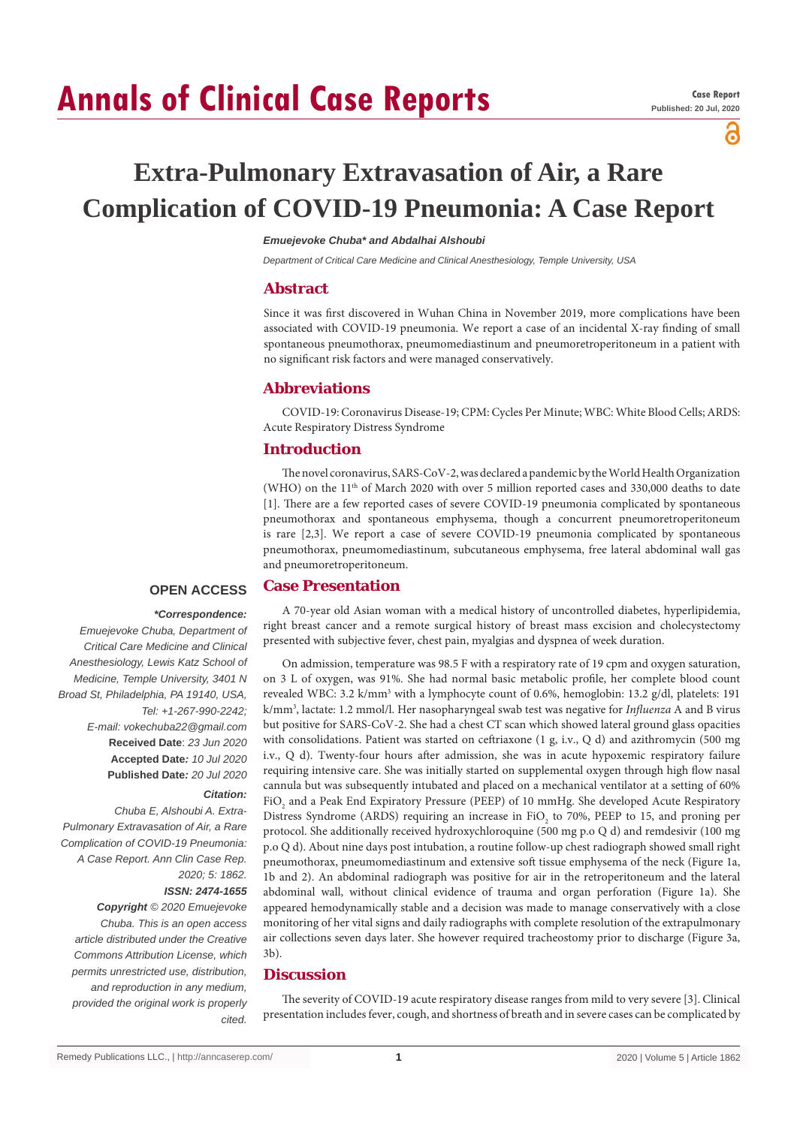# **Annals of Clinical Case Reports**

്

## **Extra-Pulmonary Extravasation of Air, a Rare Complication of COVID-19 Pneumonia: A Case Report**

#### *Emuejevoke Chuba\* and Abdalhai Alshoubi*

*Department of Critical Care Medicine and Clinical Anesthesiology, Temple University, USA*

#### **Abstract**

Since it was first discovered in Wuhan China in November 2019, more complications have been associated with COVID-19 pneumonia. We report a case of an incidental X-ray finding of small spontaneous pneumothorax, pneumomediastinum and pneumoretroperitoneum in a patient with no significant risk factors and were managed conservatively.

#### **Abbreviations**

COVID-19: Coronavirus Disease-19; CPM: Cycles Per Minute; WBC: White Blood Cells; ARDS: Acute Respiratory Distress Syndrome

#### **Introduction**

The novel coronavirus, SARS-CoV-2, was declared a pandemic by the World Health Organization (WHO) on the 11th of March 2020 with over 5 million reported cases and 330,000 deaths to date [1]. There are a few reported cases of severe COVID-19 pneumonia complicated by spontaneous pneumothorax and spontaneous emphysema, though a concurrent pneumoretroperitoneum is rare [2,3]. We report a case of severe COVID-19 pneumonia complicated by spontaneous pneumothorax, pneumomediastinum, subcutaneous emphysema, free lateral abdominal wall gas and pneumoretroperitoneum.

#### **Case Presentation OPEN ACCESS**

#### *\*Correspondence:*

*Emuejevoke Chuba, Department of Critical Care Medicine and Clinical Anesthesiology, Lewis Katz School of Medicine, Temple University, 3401 N Broad St, Philadelphia, PA 19140, USA, Tel: +1-267-990-2242; E-mail: vokechuba22@gmail.com* **Received Date**: *23 Jun 2020* **Accepted Date***: 10 Jul 2020* **Published Date***: 20 Jul 2020*

#### *Citation:*

*Chuba E, Alshoubi A. Extra-Pulmonary Extravasation of Air, a Rare Complication of COVID-19 Pneumonia: A Case Report. Ann Clin Case Rep. 2020; 5: 1862.*

#### *ISSN: 2474-1655*

*Copyright © 2020 Emuejevoke Chuba. This is an open access article distributed under the Creative Commons Attribution License, which permits unrestricted use, distribution, and reproduction in any medium, provided the original work is properly cited.*

A 70-year old Asian woman with a medical history of uncontrolled diabetes, hyperlipidemia, right breast cancer and a remote surgical history of breast mass excision and cholecystectomy presented with subjective fever, chest pain, myalgias and dyspnea of week duration.

On admission, temperature was 98.5 F with a respiratory rate of 19 cpm and oxygen saturation, on 3 L of oxygen, was 91%. She had normal basic metabolic profile, her complete blood count revealed WBC: 3.2 k/mm<sup>3</sup> with a lymphocyte count of 0.6%, hemoglobin: 13.2 g/dl, platelets: 191 k/mm3 , lactate: 1.2 mmol/l. Her nasopharyngeal swab test was negative for *Influenza* A and B virus but positive for SARS-CoV-2. She had a chest CT scan which showed lateral ground glass opacities with consolidations. Patient was started on ceftriaxone (1 g, i.v., Q d) and azithromycin (500 mg i.v., Q d). Twenty-four hours after admission, she was in acute hypoxemic respiratory failure requiring intensive care. She was initially started on supplemental oxygen through high flow nasal cannula but was subsequently intubated and placed on a mechanical ventilator at a setting of 60% FiO<sub>2</sub> and a Peak End Expiratory Pressure (PEEP) of 10 mmHg. She developed Acute Respiratory Distress Syndrome (ARDS) requiring an increase in FiO<sub>2</sub> to 70%, PEEP to 15, and proning per protocol. She additionally received hydroxychloroquine (500 mg p.o Q d) and remdesivir (100 mg p.o Q d). About nine days post intubation, a routine follow-up chest radiograph showed small right pneumothorax, pneumomediastinum and extensive soft tissue emphysema of the neck (Figure 1a, 1b and 2). An abdominal radiograph was positive for air in the retroperitoneum and the lateral abdominal wall, without clinical evidence of trauma and organ perforation (Figure 1a). She appeared hemodynamically stable and a decision was made to manage conservatively with a close monitoring of her vital signs and daily radiographs with complete resolution of the extrapulmonary air collections seven days later. She however required tracheostomy prior to discharge (Figure 3a, 3b).

### **Discussion**

The severity of COVID-19 acute respiratory disease ranges from mild to very severe [3]. Clinical presentation includes fever, cough, and shortness of breath and in severe cases can be complicated by